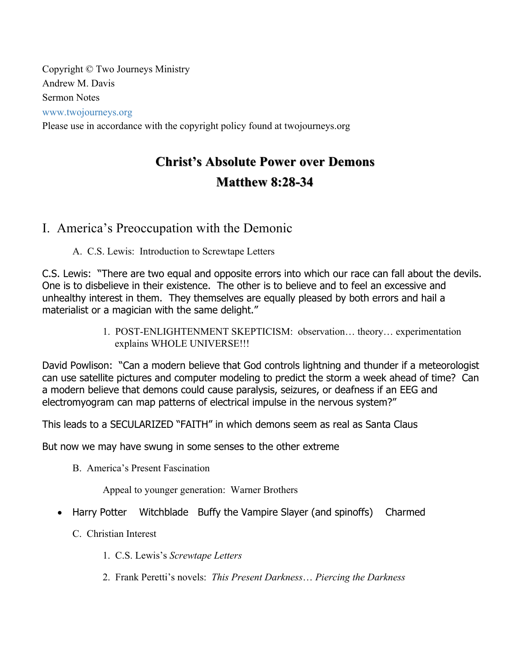Copyright © Two Journeys Ministry Andrew M. Davis Sermon Notes www.twojourneys.org Please use in accordance with the copyright policy found at twojourneys.org

# **Christ's Absolute Power over Demons Christ's Absolute Power over Demons Matthew 8:28 Matthew 8:28-34**

# I. America's Preoccupation with the Demonic

A. C.S. Lewis: Introduction to Screwtape Letters

C.S. Lewis: "There are two equal and opposite errors into which our race can fall about the devils. One is to disbelieve in their existence. The other is to believe and to feel an excessive and unhealthy interest in them. They themselves are equally pleased by both errors and hail a materialist or a magician with the same delight."

> 1. POST-ENLIGHTENMENT SKEPTICISM: observation… theory… experimentation explains WHOLE UNIVERSE!!!

David Powlison: "Can a modern believe that God controls lightning and thunder if a meteorologist can use satellite pictures and computer modeling to predict the storm a week ahead of time? Can a modern believe that demons could cause paralysis, seizures, or deafness if an EEG and electromyogram can map patterns of electrical impulse in the nervous system?"

This leads to a SECULARIZED "FAITH" in which demons seem as real as Santa Claus

But now we may have swung in some senses to the other extreme

B. America's Present Fascination

Appeal to younger generation: Warner Brothers

- Harry Potter Witchblade Buffy the Vampire Slayer (and spinoffs) Charmed
	- C. Christian Interest
		- 1. C.S. Lewis's *Screwtape Letters*
		- 2. Frank Peretti's novels: *This Present Darkness*… *Piercing the Darkness*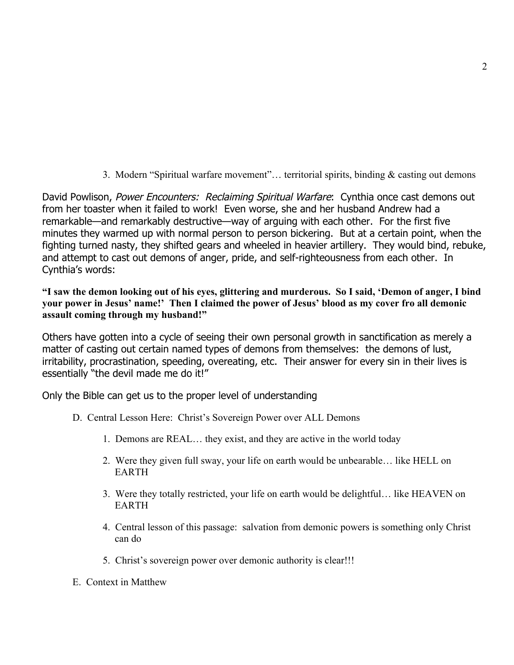3. Modern "Spiritual warfare movement"… territorial spirits, binding & casting out demons

David Powlison, Power Encounters: Reclaiming Spiritual Warfare: Cynthia once cast demons out from her toaster when it failed to work! Even worse, she and her husband Andrew had a remarkable—and remarkably destructive—way of arguing with each other. For the first five minutes they warmed up with normal person to person bickering. But at a certain point, when the fighting turned nasty, they shifted gears and wheeled in heavier artillery. They would bind, rebuke, and attempt to cast out demons of anger, pride, and self-righteousness from each other. In Cynthia's words:

**"I saw the demon looking out of his eyes, glittering and murderous. So I said, 'Demon of anger, I bind your power in Jesus' name!' Then I claimed the power of Jesus' blood as my cover fro all demonic assault coming through my husband!"**

Others have gotten into a cycle of seeing their own personal growth in sanctification as merely a matter of casting out certain named types of demons from themselves: the demons of lust, irritability, procrastination, speeding, overeating, etc. Their answer for every sin in their lives is essentially "the devil made me do it!"

Only the Bible can get us to the proper level of understanding

- D. Central Lesson Here: Christ's Sovereign Power over ALL Demons
	- 1. Demons are REAL… they exist, and they are active in the world today
	- 2. Were they given full sway, your life on earth would be unbearable… like HELL on EARTH
	- 3. Were they totally restricted, your life on earth would be delightful… like HEAVEN on EARTH
	- 4. Central lesson of this passage: salvation from demonic powers is something only Christ can do
	- 5. Christ's sovereign power over demonic authority is clear!!!
- E. Context in Matthew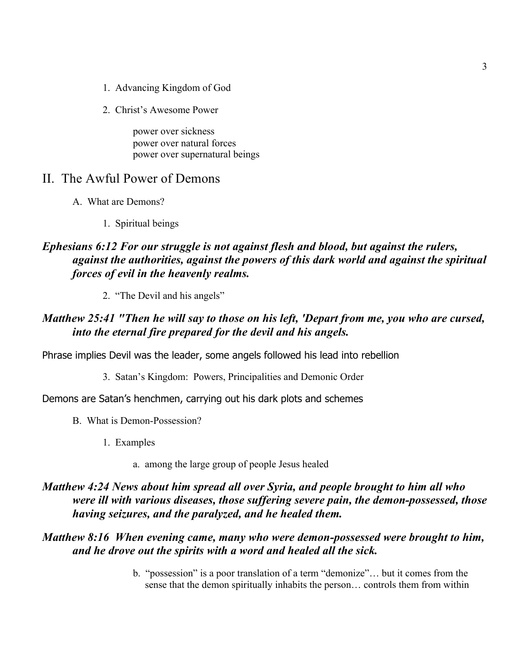- 1. Advancing Kingdom of God
- 2. Christ's Awesome Power

power over sickness power over natural forces power over supernatural beings

## II. The Awful Power of Demons

- A. What are Demons?
	- 1. Spiritual beings

## *Ephesians 6:12 For our struggle is not against flesh and blood, but against the rulers, against the authorities, against the powers of this dark world and against the spiritual forces of evil in the heavenly realms.*

2. "The Devil and his angels"

#### *Matthew 25:41 "Then he will say to those on his left, 'Depart from me, you who are cursed, into the eternal fire prepared for the devil and his angels.*

Phrase implies Devil was the leader, some angels followed his lead into rebellion

3. Satan's Kingdom: Powers, Principalities and Demonic Order

Demons are Satan's henchmen, carrying out his dark plots and schemes

- B. What is Demon-Possession?
	- 1. Examples
		- a. among the large group of people Jesus healed

## *Matthew 4:24 News about him spread all over Syria, and people brought to him all who were ill with various diseases, those suffering severe pain, the demon-possessed, those having seizures, and the paralyzed, and he healed them.*

#### *Matthew 8:16 When evening came, many who were demon-possessed were brought to him, and he drove out the spirits with a word and healed all the sick.*

b. "possession" is a poor translation of a term "demonize"… but it comes from the sense that the demon spiritually inhabits the person… controls them from within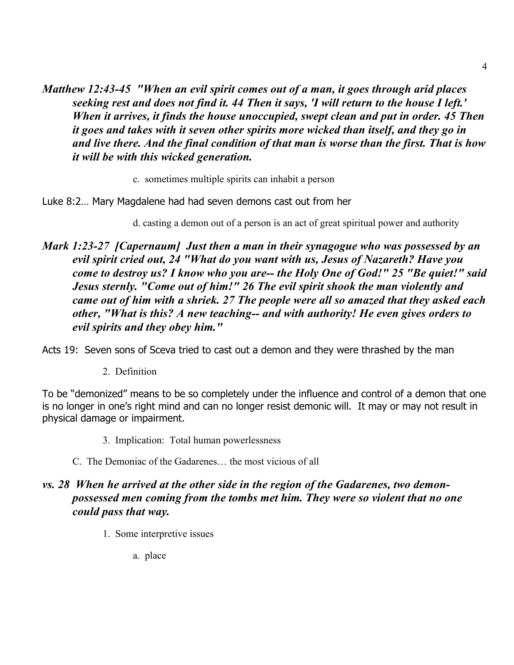*Matthew 12:43-45 "When an evil spirit comes out of a man, it goes through arid places seeking rest and does not find it. 44 Then it says, 'I will return to the house I left.' When it arrives, it finds the house unoccupied, swept clean and put in order. 45 Then it goes and takes with it seven other spirits more wicked than itself, and they go in and live there. And the final condition of that man is worse than the first. That is how it will be with this wicked generation.*

c. sometimes multiple spirits can inhabit a person

Luke 8:2… Mary Magdalene had had seven demons cast out from her

d. casting a demon out of a person is an act of great spiritual power and authority

*Mark 1:23-27 [Capernaum] Just then a man in their synagogue who was possessed by an evil spirit cried out, 24 "What do you want with us, Jesus of Nazareth? Have you come to destroy us? I know who you are-- the Holy One of God!" 25 "Be quiet!" said Jesus sternly. "Come out of him!" 26 The evil spirit shook the man violently and came out of him with a shriek. 27 The people were all so amazed that they asked each other, "What is this? A new teaching-- and with authority! He even gives orders to evil spirits and they obey him."*

Acts 19: Seven sons of Sceva tried to cast out a demon and they were thrashed by the man

2. Definition

To be "demonized" means to be so completely under the influence and control of a demon that one is no longer in one's right mind and can no longer resist demonic will. It may or may not result in physical damage or impairment.

- 3. Implication: Total human powerlessness
- C. The Demoniac of the Gadarenes… the most vicious of all

## *vs. 28 When he arrived at the other side in the region of the Gadarenes, two demonpossessed men coming from the tombs met him. They were so violent that no one could pass that way.*

- 1. Some interpretive issues
	- a. place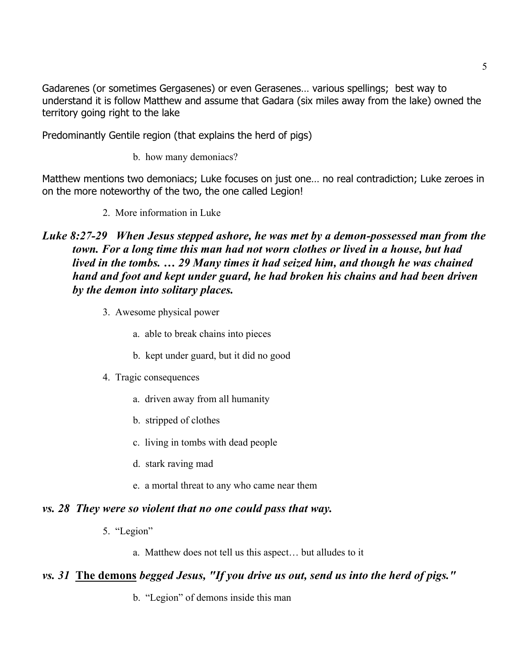Gadarenes (or sometimes Gergasenes) or even Gerasenes… various spellings; best way to understand it is follow Matthew and assume that Gadara (six miles away from the lake) owned the territory going right to the lake

Predominantly Gentile region (that explains the herd of pigs)

b. how many demoniacs?

Matthew mentions two demoniacs; Luke focuses on just one… no real contradiction; Luke zeroes in on the more noteworthy of the two, the one called Legion!

2. More information in Luke

## *Luke 8:27-29 When Jesus stepped ashore, he was met by a demon-possessed man from the town. For a long time this man had not worn clothes or lived in a house, but had lived in the tombs. … 29 Many times it had seized him, and though he was chained hand and foot and kept under guard, he had broken his chains and had been driven by the demon into solitary places.*

- 3. Awesome physical power
	- a. able to break chains into pieces
	- b. kept under guard, but it did no good
- 4. Tragic consequences
	- a. driven away from all humanity
	- b. stripped of clothes
	- c. living in tombs with dead people
	- d. stark raving mad
	- e. a mortal threat to any who came near them

#### *vs. 28 They were so violent that no one could pass that way.*

- 5. "Legion"
	- a. Matthew does not tell us this aspect… but alludes to it

#### *vs. 31* **The demons** *begged Jesus, "If you drive us out, send us into the herd of pigs."*

b. "Legion" of demons inside this man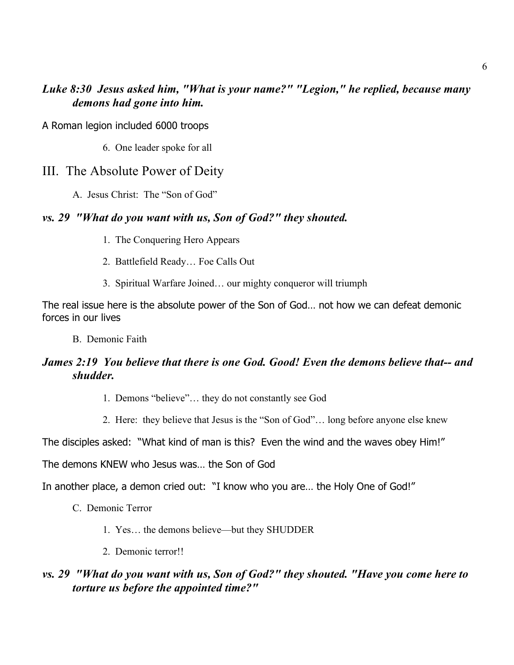## *Luke 8:30 Jesus asked him, "What is your name?" "Legion," he replied, because many demons had gone into him.*

A Roman legion included 6000 troops

6. One leader spoke for all

## III. The Absolute Power of Deity

A. Jesus Christ: The "Son of God"

#### *vs. 29 "What do you want with us, Son of God?" they shouted.*

- 1. The Conquering Hero Appears
- 2. Battlefield Ready… Foe Calls Out
- 3. Spiritual Warfare Joined… our mighty conqueror will triumph

The real issue here is the absolute power of the Son of God… not how we can defeat demonic forces in our lives

B. Demonic Faith

## *James 2:19 You believe that there is one God. Good! Even the demons believe that-- and shudder.*

- 1. Demons "believe"… they do not constantly see God
- 2. Here: they believe that Jesus is the "Son of God"… long before anyone else knew

The disciples asked: "What kind of man is this? Even the wind and the waves obey Him!"

The demons KNEW who Jesus was… the Son of God

In another place, a demon cried out: "I know who you are… the Holy One of God!"

- C. Demonic Terror
	- 1. Yes… the demons believe—but they SHUDDER
	- 2. Demonic terror!!

#### *vs. 29 "What do you want with us, Son of God?" they shouted. "Have you come here to torture us before the appointed time?"*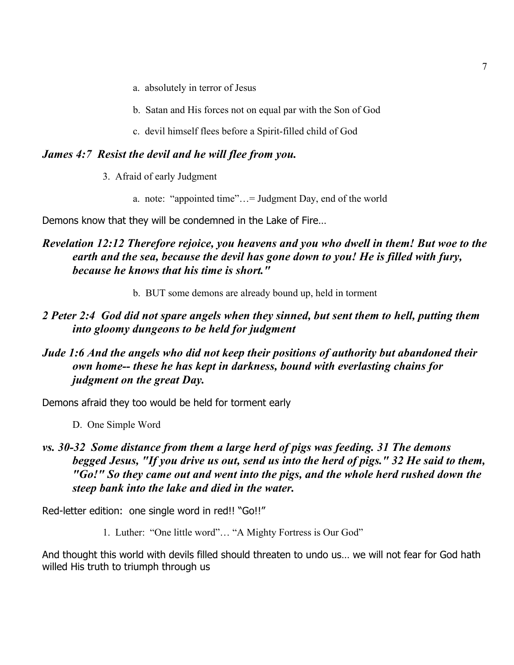- a. absolutely in terror of Jesus
- b. Satan and His forces not on equal par with the Son of God
- c. devil himself flees before a Spirit-filled child of God

#### *James 4:7 Resist the devil and he will flee from you.*

- 3. Afraid of early Judgment
	- a. note: "appointed time"…= Judgment Day, end of the world

Demons know that they will be condemned in the Lake of Fire…

## *Revelation 12:12 Therefore rejoice, you heavens and you who dwell in them! But woe to the earth and the sea, because the devil has gone down to you! He is filled with fury, because he knows that his time is short."*

b. BUT some demons are already bound up, held in torment

#### *2 Peter 2:4 God did not spare angels when they sinned, but sent them to hell, putting them into gloomy dungeons to be held for judgment*

#### *Jude 1:6 And the angels who did not keep their positions of authority but abandoned their own home-- these he has kept in darkness, bound with everlasting chains for judgment on the great Day.*

Demons afraid they too would be held for torment early

D. One Simple Word

#### *vs. 30-32 Some distance from them a large herd of pigs was feeding. 31 The demons begged Jesus, "If you drive us out, send us into the herd of pigs." 32 He said to them, "Go!" So they came out and went into the pigs, and the whole herd rushed down the steep bank into the lake and died in the water.*

Red-letter edition: one single word in red!! "Go!!"

1. Luther: "One little word"… "A Mighty Fortress is Our God"

And thought this world with devils filled should threaten to undo us… we will not fear for God hath willed His truth to triumph through us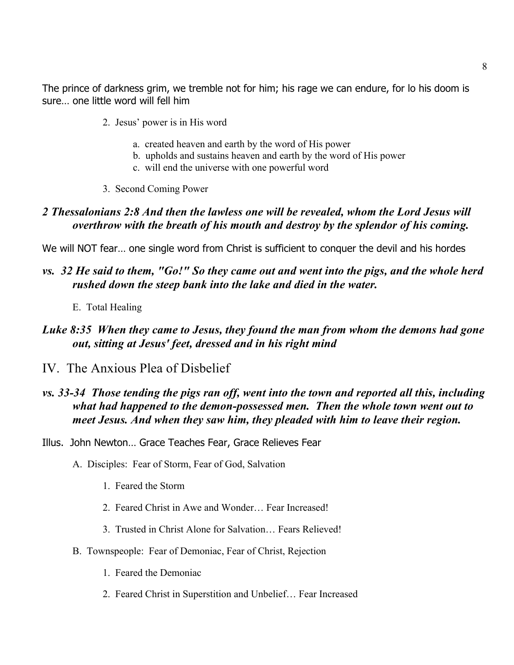The prince of darkness grim, we tremble not for him; his rage we can endure, for lo his doom is sure… one little word will fell him

- 2. Jesus' power is in His word
	- a. created heaven and earth by the word of His power
	- b. upholds and sustains heaven and earth by the word of His power
	- c. will end the universe with one powerful word
- 3. Second Coming Power

## *2 Thessalonians 2:8 And then the lawless one will be revealed, whom the Lord Jesus will overthrow with the breath of his mouth and destroy by the splendor of his coming.*

We will NOT fear… one single word from Christ is sufficient to conquer the devil and his hordes

#### *vs. 32 He said to them, "Go!" So they came out and went into the pigs, and the whole herd rushed down the steep bank into the lake and died in the water.*

E. Total Healing

#### *Luke 8:35 When they came to Jesus, they found the man from whom the demons had gone out, sitting at Jesus' feet, dressed and in his right mind*

IV. The Anxious Plea of Disbelief

#### *vs. 33-34 Those tending the pigs ran off, went into the town and reported all this, including what had happened to the demon-possessed men. Then the whole town went out to meet Jesus. And when they saw him, they pleaded with him to leave their region.*

- Illus. John Newton… Grace Teaches Fear, Grace Relieves Fear
	- A. Disciples: Fear of Storm, Fear of God, Salvation
		- 1. Feared the Storm
		- 2. Feared Christ in Awe and Wonder… Fear Increased!
		- 3. Trusted in Christ Alone for Salvation… Fears Relieved!
	- B. Townspeople: Fear of Demoniac, Fear of Christ, Rejection
		- 1. Feared the Demoniac
		- 2. Feared Christ in Superstition and Unbelief… Fear Increased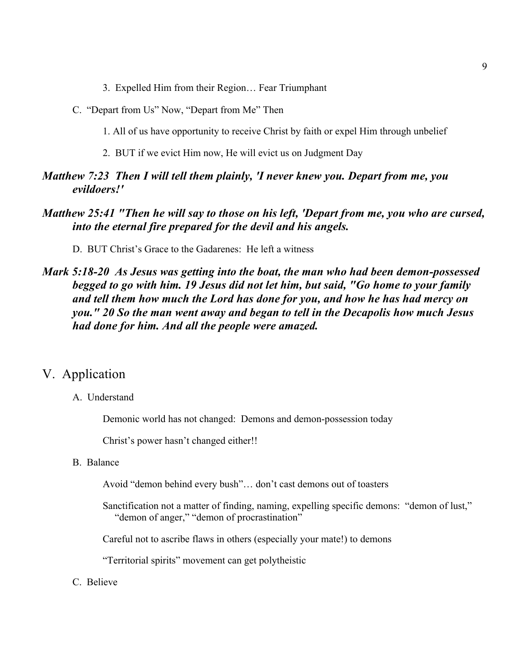- 3. Expelled Him from their Region… Fear Triumphant
- C. "Depart from Us" Now, "Depart from Me" Then
	- 1. All of us have opportunity to receive Christ by faith or expel Him through unbelief
	- 2. BUT if we evict Him now, He will evict us on Judgment Day

#### *Matthew 7:23 Then I will tell them plainly, 'I never knew you. Depart from me, you evildoers!'*

#### *Matthew 25:41 "Then he will say to those on his left, 'Depart from me, you who are cursed, into the eternal fire prepared for the devil and his angels.*

D. BUT Christ's Grace to the Gadarenes: He left a witness

#### *Mark 5:18-20 As Jesus was getting into the boat, the man who had been demon-possessed begged to go with him. 19 Jesus did not let him, but said, "Go home to your family and tell them how much the Lord has done for you, and how he has had mercy on you." 20 So the man went away and began to tell in the Decapolis how much Jesus had done for him. And all the people were amazed.*

#### V. Application

A. Understand

Demonic world has not changed: Demons and demon-possession today

Christ's power hasn't changed either!!

B. Balance

Avoid "demon behind every bush"… don't cast demons out of toasters

Sanctification not a matter of finding, naming, expelling specific demons: "demon of lust," "demon of anger," "demon of procrastination"

Careful not to ascribe flaws in others (especially your mate!) to demons

"Territorial spirits" movement can get polytheistic

C. Believe